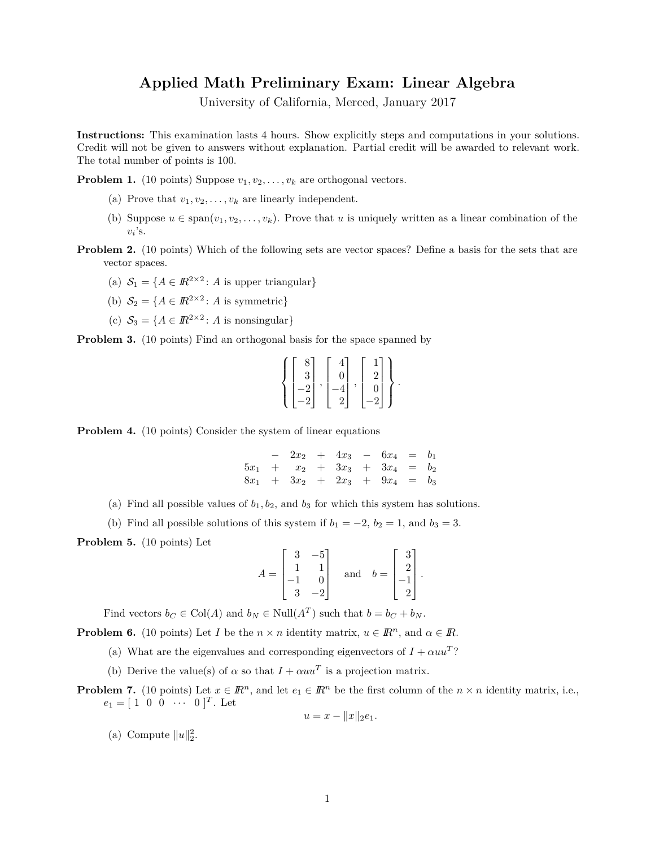## **Applied Math Preliminary Exam: Linear Algebra**

University of California, Merced, January 2017

**Instructions:** This examination lasts 4 hours. Show explicitly steps and computations in your solutions. Credit will not be given to answers without explanation. Partial credit will be awarded to relevant work. The total number of points is 100.

**Problem 1.** (10 points) Suppose  $v_1, v_2, \ldots, v_k$  are orthogonal vectors.

- (a) Prove that  $v_1, v_2, \ldots, v_k$  are linearly independent.
- (b) Suppose  $u \in \text{span}(v_1, v_2, \ldots, v_k)$ . Prove that *u* is uniquely written as a linear combination of the  $v_i$ 's.
- **Problem 2.** (10 points) Which of the following sets are vector spaces? Define a basis for the sets that are vector spaces.
	- (a)  $S_1 = \{A \in \mathbb{R}^{2 \times 2} : A \text{ is upper triangular}\}\$
	- (b)  $S_2 = \{A \in \mathbb{R}^{2 \times 2} : A \text{ is symmetric}\}\$
	- (c)  $S_3 = \{A \in \mathbb{R}^{2 \times 2} : A \text{ is nonsingular}\}\$

**Problem 3.** (10 points) Find an orthogonal basis for the space spanned by

$$
\left\{ \begin{bmatrix} 8 \\ 3 \\ -2 \\ -2 \end{bmatrix}, \begin{bmatrix} 4 \\ 0 \\ -4 \\ 2 \end{bmatrix}, \begin{bmatrix} 1 \\ 2 \\ 0 \\ -2 \end{bmatrix} \right\}.
$$

**Problem 4.** (10 points) Consider the system of linear equations

− 2*x*<sup>2</sup> + 4*x*<sup>3</sup> − 6*x*<sup>4</sup> = *b*<sup>1</sup>  $5x_1$  +  $x_2$  +  $3x_3$  +  $3x_4$  =  $b_2$  $8x_1 + 3x_2 + 2x_3 + 9x_4 = b_3$ 

- (a) Find all possible values of  $b_1, b_2$ , and  $b_3$  for which this system has solutions.
- (b) Find all possible solutions of this system if  $b_1 = -2$ ,  $b_2 = 1$ , and  $b_3 = 3$ .

**Problem 5.** (10 points) Let

$$
A = \begin{bmatrix} 3 & -5 \\ 1 & 1 \\ -1 & 0 \\ 3 & -2 \end{bmatrix} \quad \text{and} \quad b = \begin{bmatrix} 3 \\ 2 \\ -1 \\ 2 \end{bmatrix}.
$$

Find vectors  $b_C \in \text{Col}(A)$  and  $b_N \in \text{Null}(A^T)$  such that  $b = b_C + b_N$ .

**Problem 6.** (10 points) Let *I* be the  $n \times n$  identity matrix,  $u \in \mathbb{R}^n$ , and  $\alpha \in \mathbb{R}$ .

- (a) What are the eigenvalues and corresponding eigenvectors of  $I + \alpha uu^T$ ?
- (b) Derive the value(s) of  $\alpha$  so that  $I + \alpha uu^T$  is a projection matrix.
- **Problem 7.** (10 points) Let  $x \in \mathbb{R}^n$ , and let  $e_1 \in \mathbb{R}^n$  be the first column of the  $n \times n$  identity matrix, i.e.,  $e_1 = [1 \ 0 \ 0 \ \cdots \ 0]^T$ . Let

$$
u = x - ||x||_2 e_1.
$$

(a) Compute  $||u||_2^2$ .